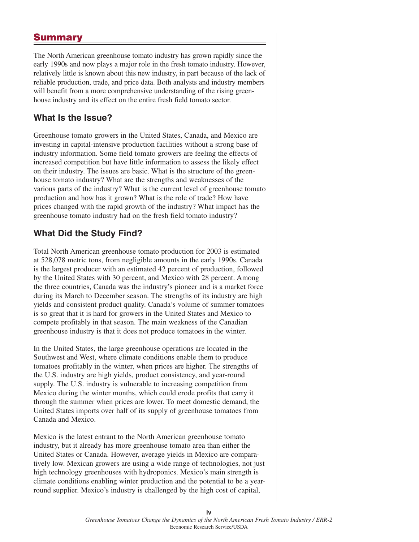## **Summary**

The North American greenhouse tomato industry has grown rapidly since the early 1990s and now plays a major role in the fresh tomato industry. However, relatively little is known about this new industry, in part because of the lack of reliable production, trade, and price data. Both analysts and industry members will benefit from a more comprehensive understanding of the rising greenhouse industry and its effect on the entire fresh field tomato sector.

## **What Is the Issue?**

Greenhouse tomato growers in the United States, Canada, and Mexico are investing in capital-intensive production facilities without a strong base of industry information. Some field tomato growers are feeling the effects of increased competition but have little information to assess the likely effect on their industry. The issues are basic. What is the structure of the greenhouse tomato industry? What are the strengths and weaknesses of the various parts of the industry? What is the current level of greenhouse tomato production and how has it grown? What is the role of trade? How have prices changed with the rapid growth of the industry? What impact has the greenhouse tomato industry had on the fresh field tomato industry?

## **What Did the Study Find?**

Total North American greenhouse tomato production for 2003 is estimated at 528,078 metric tons, from negligible amounts in the early 1990s. Canada is the largest producer with an estimated 42 percent of production, followed by the United States with 30 percent, and Mexico with 28 percent. Among the three countries, Canada was the industry's pioneer and is a market force during its March to December season. The strengths of its industry are high yields and consistent product quality. Canada's volume of summer tomatoes is so great that it is hard for growers in the United States and Mexico to compete profitably in that season. The main weakness of the Canadian greenhouse industry is that it does not produce tomatoes in the winter.

In the United States, the large greenhouse operations are located in the Southwest and West, where climate conditions enable them to produce tomatoes profitably in the winter, when prices are higher. The strengths of the U.S. industry are high yields, product consistency, and year-round supply. The U.S. industry is vulnerable to increasing competition from Mexico during the winter months, which could erode profits that carry it through the summer when prices are lower. To meet domestic demand, the United States imports over half of its supply of greenhouse tomatoes from Canada and Mexico.

Mexico is the latest entrant to the North American greenhouse tomato industry, but it already has more greenhouse tomato area than either the United States or Canada. However, average yields in Mexico are comparatively low. Mexican growers are using a wide range of technologies, not just high technology greenhouses with hydroponics. Mexico's main strength is climate conditions enabling winter production and the potential to be a yearround supplier. Mexico's industry is challenged by the high cost of capital,